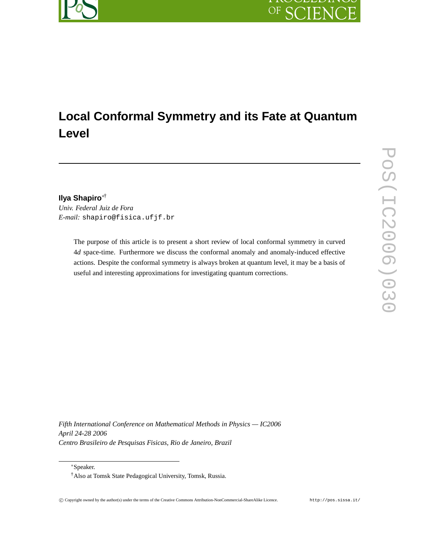

# **Local Conformal Symmetry and its Fate at Quantum Level**

**Ilya Shapiro**∗† *Univ. Federal Juiz de Fora E-mail:* shapiro@fisica.ufjf.br

> The purpose of this article is to present a short review of local conformal symmetry in curved 4*d* space-time. Furthermore we discuss the conformal anomaly and anomaly-induced effective actions. Despite the conformal symmetry is always broken at quantum level, it may be a basis of useful and interesting approximations for investigating quantum corrections.

*Fifth International Conference on Mathematical Methods in Physics — IC2006 April 24-28 2006 Centro Brasileiro de Pesquisas Fisicas, Rio de Janeiro, Brazil*

∗Speaker.

<sup>†</sup>Also at Tomsk State Pedagogical University, Tomsk, Russia.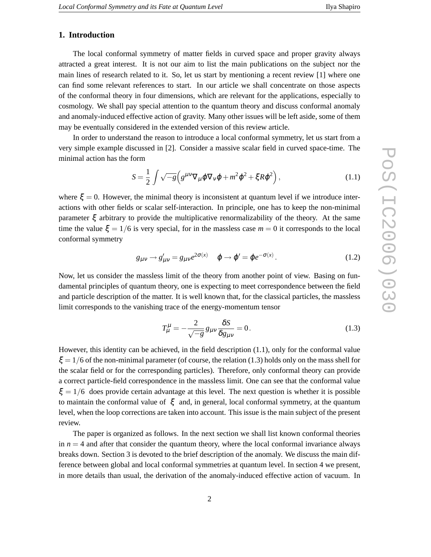# **1. Introduction**

The local conformal symmetry of matter fields in curved space and proper gravity always attracted a great interest. It is not our aim to list the main publications on the subject nor the main lines of research related to it. So, let us start by mentioning a recent review [1] where one can find some relevant references to start. In our article we shall concentrate on those aspects of the conformal theory in four dimensions, which are relevant for the applications, especially to cosmology. We shall pay special attention to the quantum theory and discuss conformal anomaly and anomaly-induced effective action of gravity. Many other issues will be left aside, some of them may be eventually considered in the extended version of this review article.

In order to understand the reason to introduce a local conformal symmetry, let us start from a very simple example discussed in [2]. Consider a massive scalar field in curved space-time. The minimal action has the form

$$
S = \frac{1}{2} \int \sqrt{-g} \left( g^{\mu \nu} \nabla_{\mu} \varphi \nabla_{\nu} \varphi + m^2 \varphi^2 + \xi R \varphi^2 \right), \tag{1.1}
$$

where  $\xi = 0$ . However, the minimal theory is inconsistent at quantum level if we introduce interactions with other fields or scalar self-interaction. In principle, one has to keep the non-minimal parameter  $\xi$  arbitrary to provide the multiplicative renormalizability of the theory. At the same time the value  $\xi = 1/6$  is very special, for in the massless case  $m = 0$  it corresponds to the local conformal symmetry

$$
g_{\mu\nu} \to g'_{\mu\nu} = g_{\mu\nu} e^{2\sigma(x)} \quad \phi \to \phi' = \phi e^{-\sigma(x)}.
$$
 (1.2)

Now, let us consider the massless limit of the theory from another point of view. Basing on fundamental principles of quantum theory, one is expecting to meet correspondence between the field and particle description of the matter. It is well known that, for the classical particles, the massless limit corresponds to the vanishing trace of the energy-momentum tensor

$$
T^{\mu}_{\mu} = -\frac{2}{\sqrt{-g}} g_{\mu\nu} \frac{\delta S}{\delta g_{\mu\nu}} = 0.
$$
 (1.3)

However, this identity can be achieved, in the field description (1.1), only for the conformal value  $\xi = 1/6$  of the non-minimal parameter (of course, the relation (1.3) holds only on the mass shell for the scalar field or for the corresponding particles). Therefore, only conformal theory can provide a correct particle-field correspondence in the massless limit. One can see that the conformal value  $\xi = 1/6$  does provide certain advantage at this level. The next question is whether it is possible to maintain the conformal value of  $\xi$  and, in general, local conformal symmetry, at the quantum level, when the loop corrections are taken into account. This issue is the main subject of the present review.

The paper is organized as follows. In the next section we shall list known conformal theories in  $n = 4$  and after that consider the quantum theory, where the local conformal invariance always breaks down. Section 3 is devoted to the brief description of the anomaly. We discuss the main difference between global and local conformal symmetries at quantum level. In section 4 we present, in more details than usual, the derivation of the anomaly-induced effective action of vacuum. In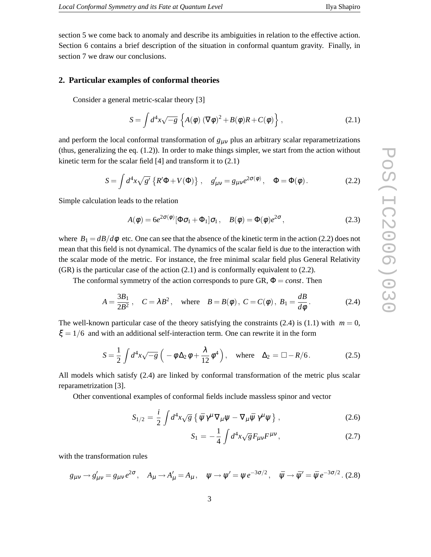section 5 we come back to anomaly and describe its ambiguities in relation to the effective action. Section 6 contains a brief description of the situation in conformal quantum gravity. Finally, in section 7 we draw our conclusions.

## **2. Particular examples of conformal theories**

Consider a general metric-scalar theory [3]

$$
S = \int d^4x \sqrt{-g} \left\{ A(\phi) \left( \nabla \phi \right)^2 + B(\phi) R + C(\phi) \right\},\tag{2.1}
$$

and perform the local conformal transformation of  $g_{\mu\nu}$  plus an arbitrary scalar reparametrizations (thus, generalizing the eq. (1.2)). In order to make things simpler, we start from the action without kinetic term for the scalar field [4] and transform it to (2.1)

$$
S = \int d^4x \sqrt{g'} \left\{ R'\Phi + V(\Phi) \right\} , \quad g'_{\mu\nu} = g_{\mu\nu} e^{2\sigma(\phi)} , \quad \Phi = \Phi(\phi). \tag{2.2}
$$

Simple calculation leads to the relation

$$
A(\phi) = 6e^{2\sigma(\phi)}[\Phi\sigma_1 + \Phi_1]\sigma_1, \quad B(\phi) = \Phi(\phi)e^{2\sigma}, \tag{2.3}
$$

where  $B_1 = \frac{dB}{d\phi}$  etc. One can see that the absence of the kinetic term in the action (2.2) does not mean that this field is not dynamical. The dynamics of the scalar field is due to the interaction with the scalar mode of the metric. For instance, the free minimal scalar field plus General Relativity (GR) is the particular case of the action (2.1) and is conformally equivalent to (2.2).

The conformal symmetry of the action corresponds to pure  $GR, \Phi = const.$  Then

$$
A = \frac{3B_1}{2B^2}
$$
,  $C = \lambda B^2$ , where  $B = B(\phi)$ ,  $C = C(\phi)$ ,  $B_1 = \frac{dB}{d\phi}$ . (2.4)

The well-known particular case of the theory satisfying the constraints (2.4) is (1.1) with  $m = 0$ ,  $\xi = 1/6$  and with an additional self-interaction term. One can rewrite it in the form

$$
S = \frac{1}{2} \int d^4x \sqrt{-g} \left( -\phi \Delta_2 \phi + \frac{\lambda}{12} \phi^4 \right), \quad \text{where} \quad \Delta_2 = \Box - R/6. \tag{2.5}
$$

All models which satisfy (2.4) are linked by conformal transformation of the metric plus scalar reparametrization [3].

Other conventional examples of conformal fields include massless spinor and vector

$$
S_{1/2} = \frac{i}{2} \int d^4x \sqrt{g} \left\{ \bar{\psi} \gamma^{\mu} \nabla_{\mu} \psi - \nabla_{\mu} \bar{\psi} \gamma^{\mu} \psi \right\},\tag{2.6}
$$

$$
S_1 = -\frac{1}{4} \int d^4x \sqrt{g} F_{\mu\nu} F^{\mu\nu}, \qquad (2.7)
$$

with the transformation rules

$$
g_{\mu\nu} \rightarrow g'_{\mu\nu} = g_{\mu\nu} e^{2\sigma}, \quad A_{\mu} \rightarrow A'_{\mu} = A_{\mu}, \quad \psi \rightarrow \psi' = \psi e^{-3\sigma/2}, \quad \bar{\psi} \rightarrow \bar{\psi}' = \bar{\psi} e^{-3\sigma/2}.
$$
 (2.8)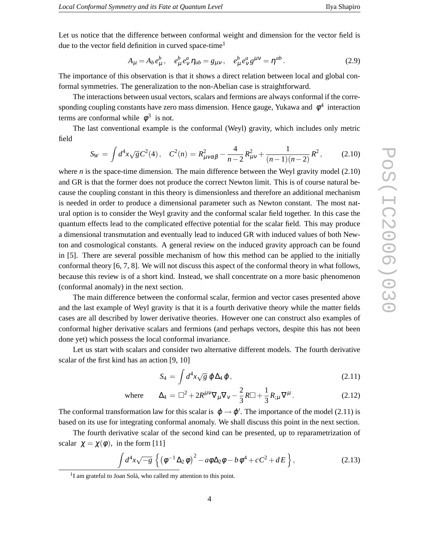Let us notice that the difference between conformal weight and dimension for the vector field is due to the vector field definition in curved space-time<sup>1</sup>

$$
A_{\mu} = A_b e_{\mu}^b, \quad e_{\mu}^b e_{\nu}^a \eta_{ab} = g_{\mu\nu}, \quad e_{\mu}^b e_{\nu}^a g^{\mu\nu} = \eta^{ab}.
$$
 (2.9)

The importance of this observation is that it shows a direct relation between local and global conformal symmetries. The generalization to the non-Abelian case is straightforward.

The interactions between usual vectors, scalars and fermions are always conformal if the corresponding coupling constants have zero mass dimension. Hence gauge, Yukawa and  $\phi^4$  interaction terms are conformal while  $\phi^3$  is not.

The last conventional example is the conformal (Weyl) gravity, which includes only metric field

$$
S_W = \int d^4x \sqrt{g} C^2(4), \quad C^2(n) = R_{\mu\nu\alpha\beta}^2 - \frac{4}{n-2} R_{\mu\nu}^2 + \frac{1}{(n-1)(n-2)} R^2, \tag{2.10}
$$

where *n* is the space-time dimension. The main difference between the Weyl gravity model  $(2.10)$ and GR is that the former does not produce the correct Newton limit. This is of course natural because the coupling constant in this theory is dimensionless and therefore an additional mechanism is needed in order to produce a dimensional parameter such as Newton constant. The most natural option is to consider the Weyl gravity and the conformal scalar field together. In this case the quantum effects lead to the complicated effective potential for the scalar field. This may produce a dimensional transmutation and eventually lead to induced GR with induced values of both Newton and cosmological constants. A general review on the induced gravity approach can be found in [5]. There are several possible mechanism of how this method can be applied to the initially conformal theory [6, 7, 8]. We will not discuss this aspect of the conformal theory in what follows, because this review is of a short kind. Instead, we shall concentrate on a more basic phenomenon (conformal anomaly) in the next section.

The main difference between the conformal scalar, fermion and vector cases presented above and the last example of Weyl gravity is that it is a fourth derivative theory while the matter fields cases are all described by lower derivative theories. However one can construct also examples of conformal higher derivative scalars and fermions (and perhaps vectors, despite this has not been done yet) which possess the local conformal invariance.

Let us start with scalars and consider two alternative different models. The fourth derivative scalar of the first kind has an action [9, 10]

$$
S_4 = \int d^4x \sqrt{g} \; \phi \Delta_4 \, \phi \,, \tag{2.11}
$$

where 
$$
\Delta_4 = \Box^2 + 2R^{\mu\nu}\nabla_\mu\nabla_\nu - \frac{2}{3}R\Box + \frac{1}{3}R_{;\mu}\nabla^\mu.
$$
 (2.12)

The conformal transformation law for this scalar is  $\varphi \to \varphi'$ . The importance of the model (2.11) is based on its use for integrating conformal anomaly. We shall discuss this point in the next section.

The fourth derivative scalar of the second kind can be presented, up to reparametrization of scalar  $\chi = \chi(\phi)$ , in the form [11]

$$
\int d^4x \sqrt{-g} \left\{ \left( \phi^{-1} \Delta_2 \phi \right)^2 - a \phi \Delta_2 \phi - b \phi^4 + c C^2 + d E \right\},\tag{2.13}
$$

<sup>&</sup>lt;sup>1</sup>I am grateful to Joan Solà, who called my attention to this point.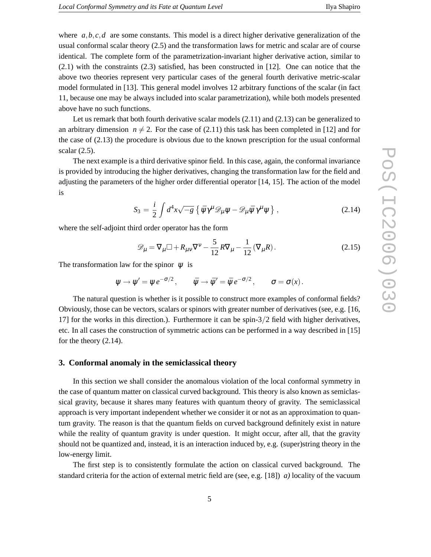where  $a, b, c, d$  are some constants. This model is a direct higher derivative generalization of the usual conformal scalar theory (2.5) and the transformation laws for metric and scalar are of course identical. The complete form of the parametrization-invariant higher derivative action, similar to (2.1) with the constraints (2.3) satisfied, has been constructed in [12]. One can notice that the above two theories represent very particular cases of the general fourth derivative metric-scalar model formulated in [13]. This general model involves 12 arbitrary functions of the scalar (in fact 11, because one may be always included into scalar parametrization), while both models presented above have no such functions.

Let us remark that both fourth derivative scalar models (2.11) and (2.13) can be generalized to an arbitrary dimension  $n \neq 2$ . For the case of (2.11) this task has been completed in [12] and for the case of (2.13) the procedure is obvious due to the known prescription for the usual conformal scalar (2.5).

The next example is a third derivative spinor field. In this case, again, the conformal invariance is provided by introducing the higher derivatives, changing the transformation law for the field and adjusting the parameters of the higher order differential operator [14, 15]. The action of the model is

$$
S_3 = \frac{i}{2} \int d^4x \sqrt{-g} \left\{ \bar{\psi} \gamma^{\mu} \mathcal{D}_{\mu} \psi - \mathcal{D}_{\mu} \bar{\psi} \gamma^{\mu} \psi \right\}, \qquad (2.14)
$$

where the self-adjoint third order operator has the form

$$
\mathscr{D}_{\mu} = \nabla_{\mu} \Box + R_{\mu\nu} \nabla^{\nu} - \frac{5}{12} R \nabla_{\mu} - \frac{1}{12} (\nabla_{\mu} R). \tag{2.15}
$$

The transformation law for the spinor  $\psi$  is

$$
\Psi \to \Psi' = \Psi e^{-\sigma/2}, \qquad \bar{\Psi} \to \bar{\Psi}' = \bar{\Psi} e^{-\sigma/2}, \qquad \sigma = \sigma(x).
$$

The natural question is whether is it possible to construct more examples of conformal fields? Obviously, those can be vectors, scalars or spinors with greater number of derivatives (see, e.g. [16, 17] for the works in this direction.). Furthermore it can be spin-3/2 field with higher derivatives, etc. In all cases the construction of symmetric actions can be performed in a way described in [15] for the theory (2.14).

#### **3. Conformal anomaly in the semiclassical theory**

In this section we shall consider the anomalous violation of the local conformal symmetry in the case of quantum matter on classical curved background. This theory is also known as semiclassical gravity, because it shares many features with quantum theory of gravity. The semiclassical approach is very important independent whether we consider it or not as an approximation to quantum gravity. The reason is that the quantum fields on curved background definitely exist in nature while the reality of quantum gravity is under question. It might occur, after all, that the gravity should not be quantized and, instead, it is an interaction induced by, e.g. (super)string theory in the low-energy limit.

The first step is to consistently formulate the action on classical curved background. The standard criteria for the action of external metric field are (see, e.g. [18]) *a)* locality of the vacuum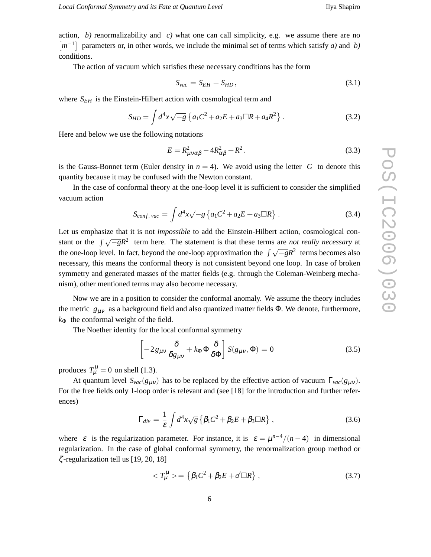action, *b*) renormalizability and *c*) what one can call simplicity, e.g. we assume there are no  $\lfloor m^{-1} \rfloor$  parameters or, in other words, we include the minimal set of terms which satisfy *a*) and *b*) conditions.

The action of vacuum which satisfies these necessary conditions has the form

$$
S_{vac} = S_{EH} + S_{HD},\tag{3.1}
$$

where  $S_{EH}$  is the Einstein-Hilbert action with cosmological term and

$$
S_{HD} = \int d^4x \sqrt{-g} \left\{ a_1 C^2 + a_2 E + a_3 \Box R + a_4 R^2 \right\}.
$$
 (3.2)

Here and below we use the following notations

$$
E = R_{\mu\nu\alpha\beta}^2 - 4R_{\alpha\beta}^2 + R^2. \tag{3.3}
$$

is the Gauss-Bonnet term (Euler density in  $n = 4$ ). We avoid using the letter *G* to denote this quantity because it may be confused with the Newton constant.

In the case of conformal theory at the one-loop level it is sufficient to consider the simplified vacuum action

$$
S_{conf.\,vac} = \int d^4x \sqrt{-g} \left\{ a_1 C^2 + a_2 E + a_3 \Box R \right\} . \tag{3.4}
$$

Let us emphasize that it is not *impossible* to add the Einstein-Hilbert action, cosmological constant or the  $\int \sqrt{-g}R^2$  term here. The statement is that these terms are *not really necessary* at the one-loop level. In fact, beyond the one-loop approximation the  $\int \sqrt{-g}R^2$  terms becomes also necessary, this means the conformal theory is not consistent beyond one loop. In case of broken symmetry and generated masses of the matter fields (e.g. through the Coleman-Weinberg mechanism), other mentioned terms may also become necessary.

Now we are in a position to consider the conformal anomaly. We assume the theory includes the metric  $g_{\mu\nu}$  as a background field and also quantized matter fields  $\Phi$ . We denote, furthermore,  $k_{\Phi}$  the conformal weight of the field.

The Noether identity for the local conformal symmetry

$$
\left[-2g_{\mu\nu}\frac{\delta}{\delta g_{\mu\nu}} + k_{\Phi}\Phi\frac{\delta}{\delta\Phi}\right]S(g_{\mu\nu},\Phi) = 0
$$
\n(3.5)

produces  $T^{\mu}_{\mu} = 0$  on shell (1.3).

At quantum level  $S_{\text{vac}}(g_{\mu\nu})$  has to be replaced by the effective action of vacuum  $\Gamma_{\text{vac}}(g_{\mu\nu})$ . For the free fields only 1-loop order is relevant and (see [18] for the introduction and further references)

$$
\Gamma_{div} = \frac{1}{\varepsilon} \int d^4x \sqrt{g} \left\{ \beta_1 C^2 + \beta_2 E + \beta_3 \Box R \right\},\tag{3.6}
$$

where  $\varepsilon$  is the regularization parameter. For instance, it is  $\varepsilon = \mu^{n-4}/(n-4)$  in dimensional regularization. In the case of global conformal symmetry, the renormalization group method or ζ -regularization tell us [19, 20, 18]

$$
\langle T_{\mu}^{\mu} \rangle = \left\{ \beta_1 C^2 + \beta_2 E + a' \square R \right\},\tag{3.7}
$$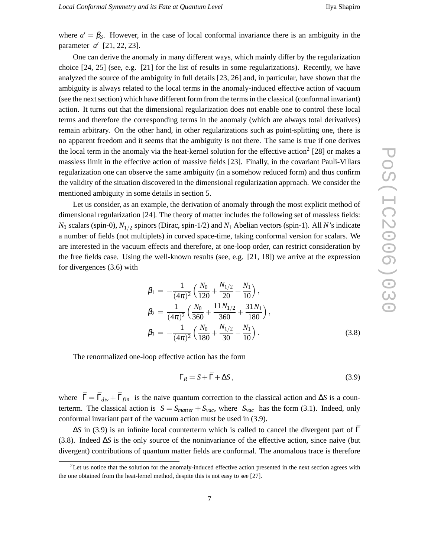where  $a' = \beta_3$ . However, in the case of local conformal invariance there is an ambiguity in the parameter *a* ′ [21, 22, 23].

One can derive the anomaly in many different ways, which mainly differ by the regularization choice [24, 25] (see, e.g. [21] for the list of results in some regularizations). Recently, we have analyzed the source of the ambiguity in full details [23, 26] and, in particular, have shown that the ambiguity is always related to the local terms in the anomaly-induced effective action of vacuum (see the next section) which have different form from the terms in the classical (conformal invariant) action. It turns out that the dimensional regularization does not enable one to control these local terms and therefore the corresponding terms in the anomaly (which are always total derivatives) remain arbitrary. On the other hand, in other regularizations such as point-splitting one, there is no apparent freedom and it seems that the ambiguity is not there. The same is true if one derives the local term in the anomaly via the heat-kernel solution for the effective action<sup>2</sup> [28] or makes a massless limit in the effective action of massive fields [23]. Finally, in the covariant Pauli-Villars regularization one can observe the same ambiguity (in a somehow reduced form) and thus confirm the validity of the situation discovered in the dimensional regularization approach. We consider the mentioned ambiguity in some details in section 5.

Let us consider, as an example, the derivation of anomaly through the most explicit method of dimensional regularization [24]. The theory of matter includes the following set of massless fields: *N*<sup>0</sup> scalars (spin-0), *N*1/<sup>2</sup> spinors (Dirac, spin-1/2) and *N*<sup>1</sup> Abelian vectors (spin-1). All *N*'s indicate a number of fields (not multiplets) in curved space-time, taking conformal version for scalars. We are interested in the vacuum effects and therefore, at one-loop order, can restrict consideration by the free fields case. Using the well-known results (see, e.g. [21, 18]) we arrive at the expression for divergences (3.6) with

$$
\beta_1 = -\frac{1}{(4\pi)^2} \left( \frac{N_0}{120} + \frac{N_{1/2}}{20} + \frac{N_1}{10} \right),
$$
  
\n
$$
\beta_2 = \frac{1}{(4\pi)^2} \left( \frac{N_0}{360} + \frac{11N_{1/2}}{360} + \frac{31N_1}{180} \right),
$$
  
\n
$$
\beta_3 = -\frac{1}{(4\pi)^2} \left( \frac{N_0}{180} + \frac{N_{1/2}}{30} - \frac{N_1}{10} \right).
$$
\n(3.8)

The renormalized one-loop effective action has the form

$$
\Gamma_R = S + \bar{\Gamma} + \Delta S, \tag{3.9}
$$

where  $\bar{\Gamma} = \bar{\Gamma}_{div} + \bar{\Gamma}_{fin}$  is the naive quantum correction to the classical action and  $\Delta S$  is a counterterm. The classical action is  $S = S_{matter} + S_{vac}$ , where  $S_{vac}$  has the form (3.1). Indeed, only conformal invariant part of the vacuum action must be used in (3.9).

 $\Delta$ *S* in (3.9) is an infinite local counterterm which is called to cancel the divergent part of Γ (3.8). Indeed ∆*S* is the only source of the noninvariance of the effective action, since naive (but divergent) contributions of quantum matter fields are conformal. The anomalous trace is therefore

<sup>&</sup>lt;sup>2</sup>Let us notice that the solution for the anomaly-induced effective action presented in the next section agrees with the one obtained from the heat-lernel method, despite this is not easy to see [27].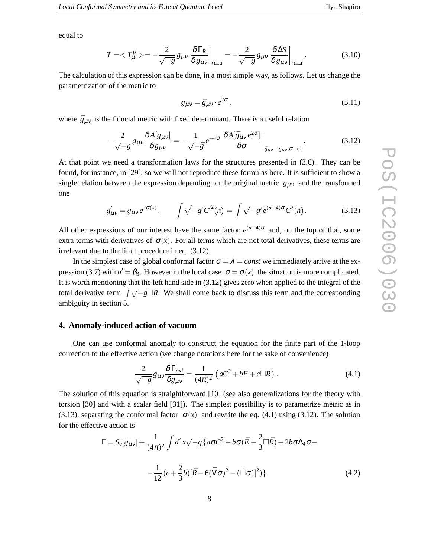equal to

$$
T = \langle T^{\mu}_{\mu} \rangle = -\frac{2}{\sqrt{-g}} g_{\mu\nu} \frac{\delta \Gamma_R}{\delta g_{\mu\nu}} \bigg|_{D=4} = -\frac{2}{\sqrt{-g}} g_{\mu\nu} \frac{\delta \Delta S}{\delta g_{\mu\nu}} \bigg|_{D=4}.
$$
 (3.10)

The calculation of this expression can be done, in a most simple way, as follows. Let us change the parametrization of the metric to

$$
g_{\mu\nu} = \bar{g}_{\mu\nu} \cdot e^{2\sigma},\tag{3.11}
$$

where  $\bar{g}_{\mu\nu}$  is the fiducial metric with fixed determinant. There is a useful relation

$$
-\frac{2}{\sqrt{-g}}g_{\mu\nu}\frac{\delta A[g_{\mu\nu}]}{\delta g_{\mu\nu}} = -\frac{1}{\sqrt{-\bar{g}}}e^{-4\sigma}\frac{\delta A[\bar{g}_{\mu\nu}e^{2\sigma}]}{\delta \sigma}\bigg|_{\bar{g}_{\mu\nu}\to g_{\mu\nu},\sigma\to 0}.
$$
 (3.12)

At that point we need a transformation laws for the structures presented in (3.6). They can be found, for instance, in [29], so we will not reproduce these formulas here. It is sufficient to show a single relation between the expression depending on the original metric  $g_{\mu\nu}$  and the transformed one

$$
g'_{\mu\nu} = g_{\mu\nu} e^{2\sigma(x)}, \qquad \int \sqrt{-g'} C'^2(n) = \int \sqrt{-g'} e^{(n-4)\sigma} C^2(n). \tag{3.13}
$$

All other expressions of our interest have the same factor  $e^{(n-4)\sigma}$  and, on the top of that, some extra terms with derivatives of  $\sigma(x)$ . For all terms which are not total derivatives, these terms are irrelevant due to the limit procedure in eq. (3.12).

In the simplest case of global conformal factor  $\sigma = \lambda = const$  we immediately arrive at the expression (3.7) with  $a' = \beta_3$ . However in the local case  $\sigma = \sigma(x)$  the situation is more complicated. It is worth mentioning that the left hand side in (3.12) gives zero when applied to the integral of the total derivative term  $\int \sqrt{-g} \Box R$ . We shall come back to discuss this term and the corresponding ambiguity in section 5.

# **4. Anomaly-induced action of vacuum**

One can use conformal anomaly to construct the equation for the finite part of the 1-loop correction to the effective action (we change notations here for the sake of convenience)

$$
\frac{2}{\sqrt{-g}}g_{\mu\nu}\frac{\delta\bar{\Gamma}_{ind}}{\delta g_{\mu\nu}} = \frac{1}{(4\pi)^2} \left(aC^2 + bE + c\Box R\right). \tag{4.1}
$$

The solution of this equation is straightforward [10] (see also generalizations for the theory with torsion [30] and with a scalar field [31]). The simplest possibility is to parametrize metric as in (3.13), separating the conformal factor  $\sigma(x)$  and rewrite the eq. (4.1) using (3.12). The solution for the effective action is

$$
\bar{\Gamma} = S_c[\bar{g}_{\mu\nu}] + \frac{1}{(4\pi)^2} \int d^4x \sqrt{-\bar{g}} \left\{ a\sigma \bar{C}^2 + b\sigma (\bar{E} - \frac{2}{3}\bar{\Box}\bar{R}) + 2b\sigma \bar{\Delta}_4 \sigma - \right.
$$
\n
$$
- \frac{1}{12} (c + \frac{2}{3}b)[\bar{R} - 6(\bar{\nabla}\sigma)^2 - (\bar{\Box}\sigma)]^2) \}
$$
\n(4.2)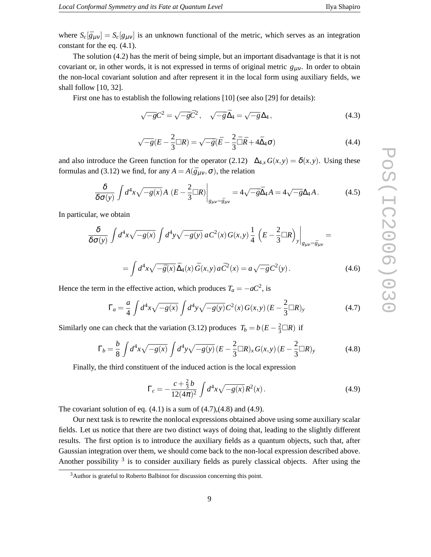where  $S_c[\bar{g}_{\mu\nu}] = S_c[g_{\mu\nu}]$  is an unknown functional of the metric, which serves as an integration constant for the eq. (4.1).

The solution (4.2) has the merit of being simple, but an important disadvantage is that it is not covariant or, in other words, it is not expressed in terms of original metric  $g_{\mu\nu}$ . In order to obtain the non-local covariant solution and after represent it in the local form using auxiliary fields, we shall follow [10, 32].

First one has to establish the following relations [10] (see also [29] for details):

$$
\sqrt{-g}C^2 = \sqrt{-\bar{g}}\bar{C}^2, \quad \sqrt{-\bar{g}}\bar{\Delta}_4 = \sqrt{-g}\Delta_4,\tag{4.3}
$$

$$
\sqrt{-g}(E - \frac{2}{3}\Box R) = \sqrt{-\bar{g}}(\bar{E} - \frac{2}{3}\bar{\Box}\bar{R} + 4\bar{\Delta}_4\sigma)
$$
(4.4)

and also introduce the Green function for the operator (2.12)  $\Delta_{4,x} G(x, y) = \delta(x, y)$ . Using these formulas and (3.12) we find, for any  $A = A(\bar{g}_{\mu\nu}, \sigma)$ , the relation

$$
\frac{\delta}{\delta \sigma(y)} \int d^4x \sqrt{-g(x)} A \left( E - \frac{2}{3} \Box R \right) \Big|_{g_{\mu\nu} = \bar{g}_{\mu\nu}} = 4 \sqrt{-\bar{g}} \bar{\Delta}_4 A = 4 \sqrt{-g} \Delta_4 A. \tag{4.5}
$$

In particular, we obtain

$$
\frac{\delta}{\delta\sigma(y)}\int d^4x\sqrt{-g(x)}\int d^4y\sqrt{-g(y)}\,aC^2(x)\,G(x,y)\frac{1}{4}\left(E-\frac{2}{3}\Box R\right)_y\bigg|_{g_{\mu\nu}=\bar{g}_{\mu\nu}}=
$$

$$
= \int d^4x \sqrt{-\bar{g}(x)} \,\bar{\Delta}_4(x) \,\bar{G}(x, y) \, a\,\bar{C}^2(x) = a\sqrt{-g}\,C^2(y). \tag{4.6}
$$

Hence the term in the effective action, which produces  $T_a = -aC^2$ , is

$$
\Gamma_a = \frac{a}{4} \int d^4x \sqrt{-g(x)} \int d^4y \sqrt{-g(y)} C^2(x) G(x, y) (E - \frac{2}{3} \Box R)_y
$$
\n(4.7)

Similarly one can check that the variation (3.12) produces  $T_b = b(E - \frac{2}{3} \Box R)$  if

$$
\Gamma_b = \frac{b}{8} \int d^4x \sqrt{-g(x)} \int d^4y \sqrt{-g(y)} (E - \frac{2}{3} \Box R)_x G(x, y) (E - \frac{2}{3} \Box R)_y
$$
(4.8)

Finally, the third constituent of the induced action is the local expression

$$
\Gamma_c = -\frac{c + \frac{2}{3}b}{12(4\pi)^2} \int d^4x \sqrt{-g(x)} R^2(x). \tag{4.9}
$$

The covariant solution of eq.  $(4.1)$  is a sum of  $(4.7)$ , $(4.8)$  and  $(4.9)$ .

Our next task is to rewrite the nonlocal expressions obtained above using some auxiliary scalar fields. Let us notice that there are two distinct ways of doing that, leading to the slightly different results. The first option is to introduce the auxiliary fields as a quantum objects, such that, after Gaussian integration over them, we should come back to the non-local expression described above. Another possibility <sup>3</sup> is to consider auxiliary fields as purely classical objects. After using the

<sup>3</sup>Author is grateful to Roberto Balbinot for discussion concerning this point.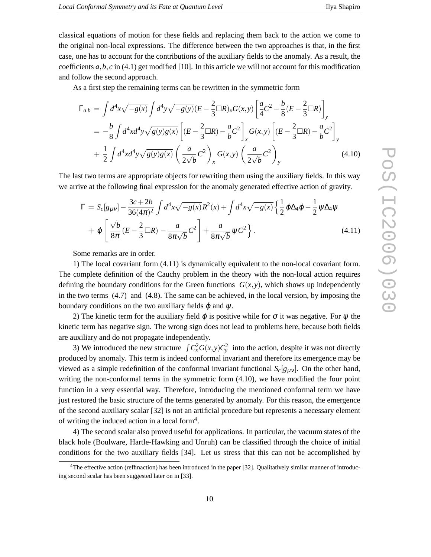classical equations of motion for these fields and replacing them back to the action we come to the original non-local expressions. The difference between the two approaches is that, in the first case, one has to account for the contributions of the auxiliary fields to the anomaly. As a result, the coefficients  $a, b, c$  in (4.1) get modified [10]. In this article we will not account for this modification and follow the second approach.

As a first step the remaining terms can be rewritten in the symmetric form

$$
\Gamma_{a,b} = \int d^4x \sqrt{-g(x)} \int d^4y \sqrt{-g(y)} (E - \frac{2}{3} \Box R)_x G(x, y) \left[ \frac{a}{4} C^2 - \frac{b}{8} (E - \frac{2}{3} \Box R) \right]_y
$$
  
=  $-\frac{b}{8} \int d^4x d^4y \sqrt{g(y)} g(x) \left[ (E - \frac{2}{3} \Box R) - \frac{a}{b} C^2 \right]_x G(x, y) \left[ (E - \frac{2}{3} \Box R) - \frac{a}{b} C^2 \right]_y$   
+  $\frac{1}{2} \int d^4x d^4y \sqrt{g(y)} g(x) \left( \frac{a}{2\sqrt{b}} C^2 \right)_x G(x, y) \left( \frac{a}{2\sqrt{b}} C^2 \right)_y$  (4.10)

The last two terms are appropriate objects for rewriting them using the auxiliary fields. In this way we arrive at the following final expression for the anomaly generated effective action of gravity.

$$
\Gamma = S_c[g_{\mu\nu}] - \frac{3c + 2b}{36(4\pi)^2} \int d^4x \sqrt{-g(x)} R^2(x) + \int d^4x \sqrt{-g(x)} \left\{ \frac{1}{2} \varphi \Delta_4 \varphi - \frac{1}{2} \psi \Delta_4 \psi \right. \\ + \varphi \left[ \frac{\sqrt{b}}{8\pi} (E - \frac{2}{3} \Box R) - \frac{a}{8\pi \sqrt{b}} C^2 \right] + \frac{a}{8\pi \sqrt{b}} \psi C^2 \right\}.
$$
 (4.11)

Some remarks are in order.

1) The local covariant form (4.11) is dynamically equivalent to the non-local covariant form. The complete definition of the Cauchy problem in the theory with the non-local action requires defining the boundary conditions for the Green functions  $G(x, y)$ , which shows up independently in the two terms (4.7) and (4.8). The same can be achieved, in the local version, by imposing the boundary conditions on the two auxiliary fields  $\varphi$  and  $\psi$ .

2) The kinetic term for the auxiliary field  $\varphi$  is positive while for  $\sigma$  it was negative. For  $\psi$  the kinetic term has negative sign. The wrong sign does not lead to problems here, because both fields are auxiliary and do not propagate independently.

3) We introduced the new structure  $\int C_x^2 G(x, y) C_y^2$  into the action, despite it was not directly produced by anomaly. This term is indeed conformal invariant and therefore its emergence may be viewed as a simple redefinition of the conformal invariant functional  $S_c[g_{\mu\nu}]$ . On the other hand, writing the non-conformal terms in the symmetric form (4.10), we have modified the four point function in a very essential way. Therefore, introducing the mentioned conformal term we have just restored the basic structure of the terms generated by anomaly. For this reason, the emergence of the second auxiliary scalar [32] is not an artificial procedure but represents a necessary element of writing the induced action in a local form<sup>4</sup>.

4) The second scalar also proved useful for applications. In particular, the vacuum states of the black hole (Boulware, Hartle-Hawking and Unruh) can be classified through the choice of initial conditions for the two auxiliary fields [34]. Let us stress that this can not be accomplished by

<sup>4</sup>The effective action (reffinaction) has been introduced in the paper [32]. Qualitatively similar manner of introducing second scalar has been suggested later on in [33].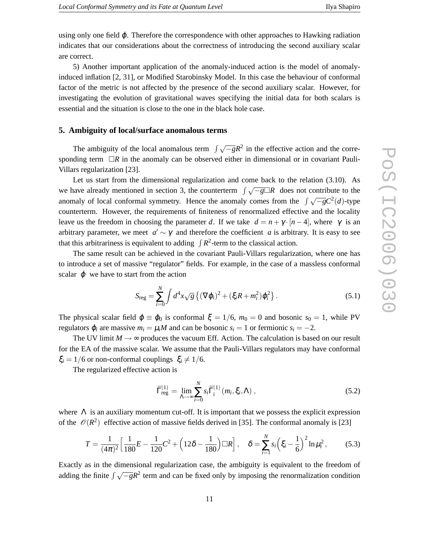using only one field  $\varphi$ . Therefore the correspondence with other approaches to Hawking radiation indicates that our considerations about the correctness of introducing the second auxiliary scalar are correct.

5) Another important application of the anomaly-induced action is the model of anomalyinduced inflation [2, 31], or Modified Starobinsky Model. In this case the behaviour of conformal factor of the metric is not affected by the presence of the second auxiliary scalar. However, for investigating the evolution of gravitational waves specifying the initial data for both scalars is essential and the situation is close to the one in the black hole case.

#### **5. Ambiguity of local/surface anomalous terms**

The ambiguity of the local anomalous term  $\int \sqrt{-g}R^2$  in the effective action and the corresponding term  $\Box R$  in the anomaly can be observed either in dimensional or in covariant Pauli-Villars regularization [23].

Let us start from the dimensional regularization and come back to the relation (3.10). As we have already mentioned in section 3, the counterterm  $\int \sqrt{-g} \Box R$  does not contribute to the anomaly of local conformal symmetry. Hence the anomaly comes from the  $\int \sqrt{-g} C^2(d)$ -type counterterm. However, the requirements of finiteness of renormalized effective and the locality leave us the freedom in choosing the parameter *d*. If we take  $d = n + \gamma \cdot [n-4]$ , where  $\gamma$  is an arbitrary parameter, we meet  $a' \sim \gamma$  and therefore the coefficient *a* is arbitrary. It is easy to see that this arbitrariness is equivalent to adding  $\int R^2$ -term to the classical action.

The same result can be achieved in the covariant Pauli-Villars regularization, where one has to introduce a set of massive "regulator" fields. For example, in the case of a massless conformal scalar  $\varphi$  we have to start from the action

$$
S_{\text{reg}} = \sum_{i=0}^{N} \int d^4x \sqrt{g} \left\{ (\nabla \varphi_i)^2 + (\xi_i R + m_i^2) \varphi_i^2 \right\}.
$$
 (5.1)

The physical scalar field  $\varphi \equiv \varphi_0$  is conformal  $\xi = 1/6$ ,  $m_0 = 0$  and bosonic  $s_0 = 1$ , while PV regulators  $\varphi_i$  are massive  $m_i = \mu_i M$  and can be bosonic  $s_i = 1$  or fermionic  $s_i = -2$ .

The UV limit  $M \rightarrow \infty$  produces the vacuum Eff. Action. The calculation is based on our result for the EA of the massive scalar. We assume that the Pauli-Villars regulators may have conformal  $\xi_i = 1/6$  or non-conformal couplings  $\xi_i \neq 1/6$ .

The regularized effective action is

$$
\bar{\Gamma}_{\text{reg}}^{(1)} = \lim_{\Lambda \to \infty} \sum_{i=0}^{N} s_i \bar{\Gamma}_i^{(1)} \left( m_i, \xi_i, \Lambda \right), \qquad (5.2)
$$

where  $\Lambda$  is an auxiliary momentum cut-off. It is important that we possess the explicit expression of the  $\mathcal{O}(R^2)$  effective action of massive fields derived in [35]. The conformal anomaly is [23]

$$
T = \frac{1}{(4\pi)^2} \left[ \frac{1}{180} E - \frac{1}{120} C^2 + \left( 12\delta - \frac{1}{180} \right) \Box R \right], \quad \delta = \sum_{i=1}^N s_i \left( \xi_i - \frac{1}{6} \right)^2 \ln \mu_i^2, \tag{5.3}
$$

Exactly as in the dimensional regularization case, the ambiguity is equivalent to the freedom of adding the finite  $\int \sqrt{-g}R^2$  term and can be fixed only by imposing the renormalization condition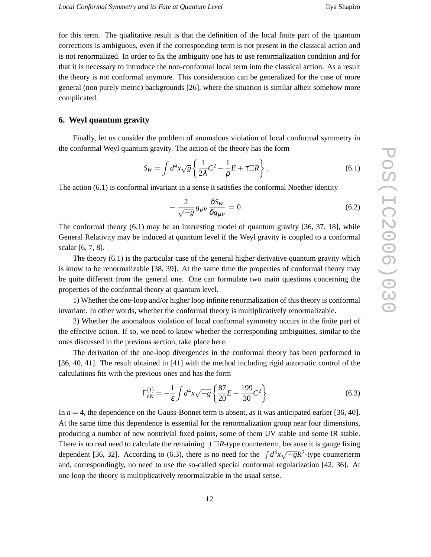for this term. The qualitative result is that the definition of the local finite part of the quantum corrections is ambiguous, even if the corresponding term is not present in the classical action and is not renormalized. In order to fix the ambiguity one has to use renormalization condition and for that it is necessary to introduce the non-conformal local term into the classical action. As a result the theory is not conformal anymore. This consideration can be generalized for the case of more general (non purely metric) backgrounds [26], where the situation is similar albeit somehow more complicated.

# **6. Weyl quantum gravity**

Finally, let us consider the problem of anomalous violation of local conformal symmetry in the conformal Weyl quantum gravity. The action of the theory has the form

$$
S_W = \int d^4x \sqrt{g} \left\{ \frac{1}{2\lambda} C^2 - \frac{1}{\rho} E + \tau \Box R \right\},\tag{6.1}
$$

The action (6.1) is conformal invariant in a sense it satisfies the conformal Noether identity

$$
-\frac{2}{\sqrt{-g}}g_{\mu\nu}\frac{\delta S_W}{\delta g_{\mu\nu}}=0.\tag{6.2}
$$

The conformal theory (6.1) may be an interesting model of quantum gravity [36, 37, 18], while General Relativity may be induced at quantum level if the Weyl gravity is coupled to a conformal scalar [6, 7, 8].

The theory (6.1) is the particular case of the general higher derivative quantum gravity which is know to be renormalizable [38, 39]. At the same time the properties of conformal theory may be quite different from the general one. One can formulate two main questions concerning the properties of the conformal theory at quantum level.

1) Whether the one-loop and/or higher loop infinite renormalization of this theory is conformal invariant. In other words, whether the conformal theory is multiplicatively renormalizable.

2) Whether the anomalous violation of local conformal symmetry occurs in the finite part of the effective action. If so, we need to know whether the corresponding ambiguities, similar to the ones discussed in the previous section, take place here.

The derivation of the one-loop divergences in the conformal theory has been performed in [36, 40, 41]. The result obtained in [41] with the method including rigid automatic control of the calculations fits with the previous ones and has the form

$$
\Gamma_{\text{div}}^{(1)} = -\frac{1}{\varepsilon} \int d^4 x \sqrt{-g} \left\{ \frac{87}{20} E - \frac{199}{30} C^2 \right\} . \tag{6.3}
$$

In  $n = 4$ , the dependence on the Gauss-Bonnet term is absent, as it was anticipated earlier [36, 40]. At the same time this dependence is essential for the renormalization group near four dimensions, producing a number of new nontrivial fixed points, some of them UV stable and some IR stable. There is no real need to calculate the remaining  $\int \Box R$ -type counterterm, because it is gauge fixing dependent [36, 32]. According to (6.3), there is no need for the  $\int d^4x \sqrt{-g}R^2$ -type counterterm and, correspondingly, no need to use the so-called special conformal regularization [42, 36]. At one loop the theory is multiplicatively renormalizable in the usual sense.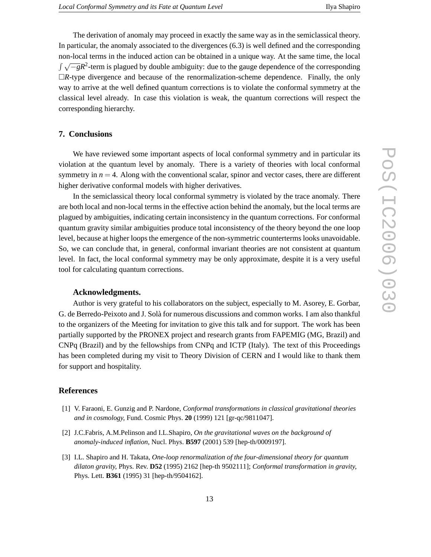The derivation of anomaly may proceed in exactly the same way as in the semiclassical theory. In particular, the anomaly associated to the divergences (6.3) is well defined and the corresponding non-local terms in the induced action can be obtained in a unique way. At the same time, the local  $\int \sqrt{-g}R^2$ -term is plagued by double ambiguity: due to the gauge dependence of the corresponding  $\Box R$ -type divergence and because of the renormalization-scheme dependence. Finally, the only way to arrive at the well defined quantum corrections is to violate the conformal symmetry at the classical level already. In case this violation is weak, the quantum corrections will respect the corresponding hierarchy.

#### **7. Conclusions**

We have reviewed some important aspects of local conformal symmetry and in particular its violation at the quantum level by anomaly. There is a variety of theories with local conformal symmetry in  $n = 4$ . Along with the conventional scalar, spinor and vector cases, there are different higher derivative conformal models with higher derivatives.

In the semiclassical theory local conformal symmetry is violated by the trace anomaly. There are both local and non-local terms in the effective action behind the anomaly, but the local terms are plagued by ambiguities, indicating certain inconsistency in the quantum corrections. For conformal quantum gravity similar ambiguities produce total inconsistency of the theory beyond the one loop level, because at higher loops the emergence of the non-symmetric counterterms looks unavoidable. So, we can conclude that, in general, conformal invariant theories are not consistent at quantum level. In fact, the local conformal symmetry may be only approximate, despite it is a very useful tool for calculating quantum corrections.

#### **Acknowledgments.**

Author is very grateful to his collaborators on the subject, especially to M. Asorey, E. Gorbar, G. de Berredo-Peixoto and J. Solà for numerous discussions and common works. I am also thankful to the organizers of the Meeting for invitation to give this talk and for support. The work has been partially supported by the PRONEX project and research grants from FAPEMIG (MG, Brazil) and CNPq (Brazil) and by the fellowships from CNPq and ICTP (Italy). The text of this Proceedings has been completed during my visit to Theory Division of CERN and I would like to thank them for support and hospitality.

### **References**

- [1] V. Faraoni, E. Gunzig and P. Nardone, *Conformal transformations in classical gravitational theories and in cosmology,* Fund. Cosmic Phys. **20** (1999) 121 [gr-qc/9811047].
- [2] J.C.Fabris, A.M.Pelinson and I.L.Shapiro, *On the gravitational waves on the background of anomaly-induced inflation,* Nucl. Phys. **B597** (2001) 539 [hep-th/0009197].
- [3] I.L. Shapiro and H. Takata, *One-loop renormalization of the four-dimensional theory for quantum dilaton gravity,* Phys. Rev. **D52** (1995) 2162 [hep-th 9502111]; *Conformal transformation in gravity,* Phys. Lett. **B361** (1995) 31 [hep-th/9504162].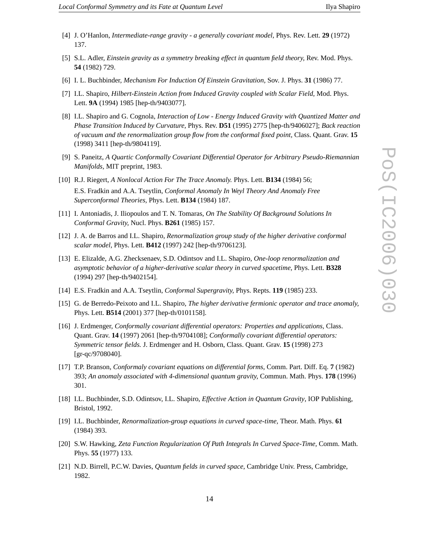- [4] J. O'Hanlon, *Intermediate-range gravity a generally covariant model,* Phys. Rev. Lett. **29** (1972) 137.
- [5] S.L. Adler, *Einstein gravity as a symmetry breaking effect in quantum field theory,* Rev. Mod. Phys. **54** (1982) 729.
- [6] I. L. Buchbinder, *Mechanism For Induction Of Einstein Gravitation,* Sov. J. Phys. **31** (1986) 77.
- [7] I.L. Shapiro, *Hilbert-Einstein Action from Induced Gravity coupled with Scalar Field,* Mod. Phys. Lett. **9A** (1994) 1985 [hep-th/9403077].
- [8] I.L. Shapiro and G. Cognola, *Interaction of Low Energy Induced Gravity with Quantized Matter and Phase Transition Induced by Curvature,* Phys. Rev. **D51** (1995) 2775 [hep-th/9406027]; *Back reaction of vacuum and the renormalization group flow from the conformal fixed point,* Class. Quant. Grav. **15** (1998) 3411 [hep-th/9804119].
- [9] S. Paneitz, *A Quartic Conformally Covariant Differential Operator for Arbitrary Pseudo-Riemannian Manifolds,* MIT preprint, 1983.
- [10] R.J. Riegert, *A Nonlocal Action For The Trace Anomaly.* Phys. Lett. **B134** (1984) 56; E.S. Fradkin and A.A. Tseytlin, *Conformal Anomaly In Weyl Theory And Anomaly Free Superconformal Theories,* Phys. Lett. **B134** (1984) 187.
- [11] I. Antoniadis, J. Iliopoulos and T. N. Tomaras, *On The Stability Of Background Solutions In Conformal Gravity,* Nucl. Phys. **B261** (1985) 157.
- [12] J. A. de Barros and I.L. Shapiro, *Renormalization group study of the higher derivative conformal scalar model,* Phys. Lett. **B412** (1997) 242 [hep-th/9706123].
- [13] E. Elizalde, A.G. Zhecksenaev, S.D. Odintsov and I.L. Shapiro, *One-loop renormalization and asymptotic behavior of a higher-derivative scalar theory in curved spacetime,* Phys. Lett. **B328** (1994) 297 [hep-th/9402154].
- [14] E.S. Fradkin and A.A. Tseytlin, *Conformal Supergravity,* Phys. Repts. **119** (1985) 233.
- [15] G. de Berredo-Peixoto and I.L. Shapiro, *The higher derivative fermionic operator and trace anomaly,* Phys. Lett. **B514** (2001) 377 [hep-th/0101158].
- [16] J. Erdmenger, *Conformally covariant differential operators: Properties and applications,* Class. Quant. Grav. **14** (1997) 2061 [hep-th/9704108]; *Conformally covariant differential operators: Symmetric tensor fields.* J. Erdmenger and H. Osborn, Class. Quant. Grav. **15** (1998) 273 [gr-qc/9708040].
- [17] T.P. Branson, *Conformaly covariant equations on differential forms,* Comm. Part. Diff. Eq. **7** (1982) 393; *An anomaly associated with 4-dimensional quantum gravity,* Commun. Math. Phys. **178** (1996) 301.
- [18] I.L. Buchbinder, S.D. Odintsov, I.L. Shapiro, *Effective Action in Quantum Gravity*, IOP Publishing, Bristol, 1992.
- [19] I.L. Buchbinder, *Renormalization-group equations in curved space-time,* Theor. Math. Phys. **61** (1984) 393.
- [20] S.W. Hawking, *Zeta Function Regularization Of Path Integrals In Curved Space-Time,* Comm. Math. Phys. **55** (1977) 133.
- [21] N.D. Birrell, P.C.W. Davies, *Quantum fields in curved space*, Cambridge Univ. Press, Cambridge, 1982.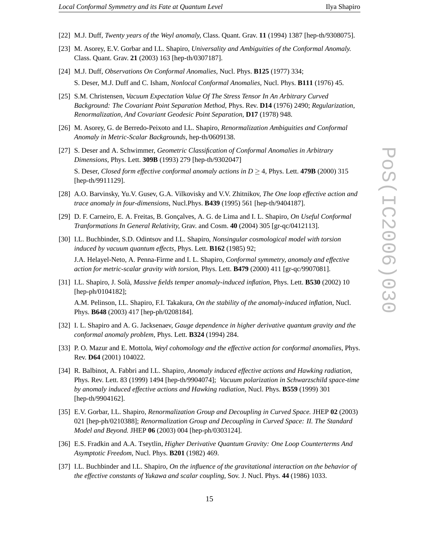- [22] M.J. Duff, *Twenty years of the Weyl anomaly,* Class. Quant. Grav. **11** (1994) 1387 [hep-th/9308075].
- [23] M. Asorey, E.V. Gorbar and I.L. Shapiro, *Universality and Ambiguities of the Conformal Anomaly.* Class. Quant. Grav. **21** (2003) 163 [hep-th/0307187].
- [24] M.J. Duff, *Observations On Conformal Anomalies,* Nucl. Phys. **B125** (1977) 334; S. Deser, M.J. Duff and C. Isham, *Nonlocal Conformal Anomalies,* Nucl. Phys. **B111** (1976) 45.
- [25] S.M. Christensen, *Vacuum Expectation Value Of The Stress Tensor In An Arbitrary Curved Background: The Covariant Point Separation Method,* Phys. Rev. **D14** (1976) 2490; *Regularization, Renormalization, And Covariant Geodesic Point Separation,* **D17** (1978) 948.
- [26] M. Asorey, G. de Berredo-Peixoto and I.L. Shapiro, *Renormalization Ambiguities and Conformal Anomaly in Metric-Scalar Backgrounds*, hep-th/0609138.
- [27] S. Deser and A. Schwimmer, *Geometric Classification of Conformal Anomalies in Arbitrary Dimensions,* Phys. Lett. **309B** (1993) 279 [hep-th/9302047] S. Deser, *Closed form effective conformal anomaly actions in D* ≥ 4*,* Phys. Lett. **479B** (2000) 315

[hep-th/9911129].

- [28] A.O. Barvinsky, Yu.V. Gusev, G.A. Vilkovisky and V.V. Zhitnikov, *The One loop effective action and trace anomaly in four-dimensions,* Nucl.Phys. **B439** (1995) 561 [hep-th/9404187].
- [29] D. F. Carneiro, E. A. Freitas, B. Gonçalves, A. G. de Lima and I. L. Shapiro, *On Useful Conformal Tranformations In General Relativity,* Grav. and Cosm. **40** (2004) 305 [gr-qc/0412113].
- [30] I.L. Buchbinder, S.D. Odintsov and I.L. Shapiro, *Nonsingular cosmological model with torsion induced by vacuum quantum effects,* Phys. Lett. **B162** (1985) 92;

J.A. Helayel-Neto, A. Penna-Firme and I. L. Shapiro, *Conformal symmetry, anomaly and effective action for metric-scalar gravity with torsion,* Phys. Lett. **B479** (2000) 411 [gr-qc/9907081].

[31] I.L. Shapiro, J. Solà, *Massive fields temper anomaly-induced inflation,* Phys. Lett. **B530** (2002) 10 [hep-ph/0104182];

A.M. Pelinson, I.L. Shapiro, F.I. Takakura, *On the stability of the anomaly-induced inflation,* Nucl. Phys. **B648** (2003) 417 [hep-ph/0208184].

- [32] I. L. Shapiro and A. G. Jacksenaev, *Gauge dependence in higher derivative quantum gravity and the conformal anomaly problem,* Phys. Lett. **B324** (1994) 284.
- [33] P. O. Mazur and E. Mottola, *Weyl cohomology and the effective action for conformal anomalies*, Phys. Rev. **D64** (2001) 104022.
- [34] R. Balbinot, A. Fabbri and I.L. Shapiro, *Anomaly induced effective actions and Hawking radiation,* Phys. Rev. Lett. 83 (1999) 1494 [hep-th/9904074]; *Vacuum polarization in Schwarzschild space-time by anomaly induced effective actions and Hawking radiation,* Nucl. Phys. **B559** (1999) 301 [hep-th/9904162].
- [35] E.V. Gorbar, I.L. Shapiro, *Renormalization Group and Decoupling in Curved Space.* JHEP **02** (2003) 021 [hep-ph/0210388]; *Renormalization Group and Decoupling in Curved Space: II. The Standard Model and Beyond.* JHEP **06** (2003) 004 [hep-ph/0303124].
- [36] E.S. Fradkin and A.A. Tseytlin, *Higher Derivative Quantum Gravity: One Loop Counterterms And Asymptotic Freedom*, Nucl. Phys. **B201** (1982) 469.
- [37] I.L. Buchbinder and I.L. Shapiro, *On the influence of the gravitational interaction on the behavior of the effective constants of Yukawa and scalar coupling,* Sov. J. Nucl. Phys. **44** (1986) 1033.